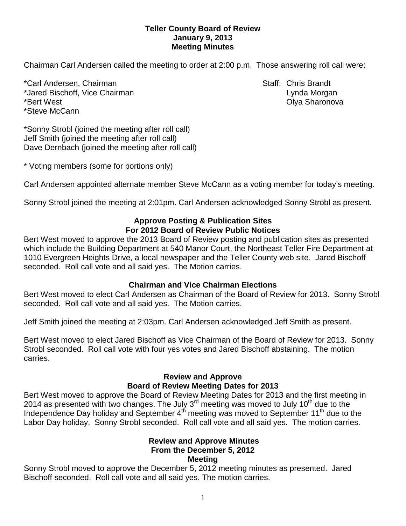#### **Teller County Board of Review January 9, 2013 Meeting Minutes**

Chairman Carl Andersen called the meeting to order at 2:00 p.m. Those answering roll call were:

\*Carl Andersen, Chairman Staff: Chris Brandt \*Jared Bischoff, Vice Chairman Lynda Morgan \*Bert West Olya Sharonova \*Steve McCann

\*Sonny Strobl (joined the meeting after roll call) Jeff Smith (joined the meeting after roll call) Dave Dernbach (joined the meeting after roll call)

\* Voting members (some for portions only)

Carl Andersen appointed alternate member Steve McCann as a voting member for today's meeting.

Sonny Strobl joined the meeting at 2:01pm. Carl Andersen acknowledged Sonny Strobl as present.

## **Approve Posting & Publication Sites For 2012 Board of Review Public Notices**

Bert West moved to approve the 2013 Board of Review posting and publication sites as presented which include the Building Department at 540 Manor Court, the Northeast Teller Fire Department at 1010 Evergreen Heights Drive, a local newspaper and the Teller County web site. Jared Bischoff seconded. Roll call vote and all said yes. The Motion carries.

# **Chairman and Vice Chairman Elections**

Bert West moved to elect Carl Andersen as Chairman of the Board of Review for 2013. Sonny Strobl seconded. Roll call vote and all said yes. The Motion carries.

Jeff Smith joined the meeting at 2:03pm. Carl Andersen acknowledged Jeff Smith as present.

Bert West moved to elect Jared Bischoff as Vice Chairman of the Board of Review for 2013. Sonny Strobl seconded. Roll call vote with four yes votes and Jared Bischoff abstaining. The motion carries.

# **Review and Approve Board of Review Meeting Dates for 2013**

Bert West moved to approve the Board of Review Meeting Dates for 2013 and the first meeting in 2014 as presented with two changes. The July  $3<sup>rd</sup>$  meeting was moved to July 10<sup>th</sup> due to the Independence Day holiday and September 4<sup>th</sup> meeting was moved to September 11<sup>th</sup> due to the Labor Day holiday. Sonny Strobl seconded. Roll call vote and all said yes. The motion carries.

#### **Review and Approve Minutes From the December 5, 2012 Meeting**

Sonny Strobl moved to approve the December 5, 2012 meeting minutes as presented. Jared Bischoff seconded.Roll call vote and all said yes. The motion carries.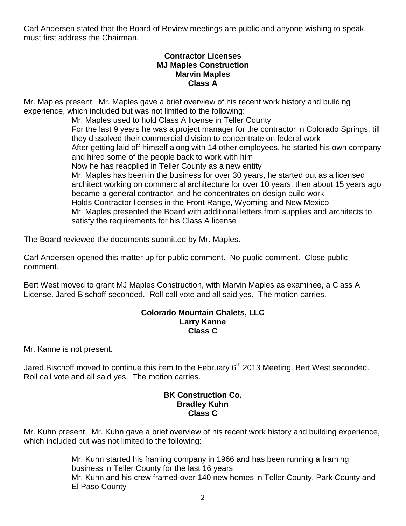Carl Andersen stated that the Board of Review meetings are public and anyone wishing to speak must first address the Chairman.

#### **Contractor Licenses MJ Maples Construction Marvin Maples Class A**

Mr. Maples present. Mr. Maples gave a brief overview of his recent work history and building experience, which included but was not limited to the following:

Mr. Maples used to hold Class A license in Teller County For the last 9 years he was a project manager for the contractor in Colorado Springs, till they dissolved their commercial division to concentrate on federal work After getting laid off himself along with 14 other employees, he started his own company and hired some of the people back to work with him Now he has reapplied in Teller County as a new entity Mr. Maples has been in the business for over 30 years, he started out as a licensed architect working on commercial architecture for over 10 years, then about 15 years ago became a general contractor, and he concentrates on design build work Holds Contractor licenses in the Front Range, Wyoming and New Mexico Mr. Maples presented the Board with additional letters from supplies and architects to satisfy the requirements for his Class A license

The Board reviewed the documents submitted by Mr. Maples.

Carl Andersen opened this matter up for public comment. No public comment. Close public comment.

Bert West moved to grant MJ Maples Construction, with Marvin Maples as examinee, a Class A License. Jared Bischoff seconded. Roll call vote and all said yes. The motion carries.

### **Colorado Mountain Chalets, LLC Larry Kanne Class C**

Mr. Kanne is not present.

Jared Bischoff moved to continue this item to the February 6<sup>th</sup> 2013 Meeting. Bert West seconded. Roll call vote and all said yes. The motion carries.

## **BK Construction Co. Bradley Kuhn Class C**

Mr. Kuhn present. Mr. Kuhn gave a brief overview of his recent work history and building experience, which included but was not limited to the following:

> Mr. Kuhn started his framing company in 1966 and has been running a framing business in Teller County for the last 16 years Mr. Kuhn and his crew framed over 140 new homes in Teller County, Park County and El Paso County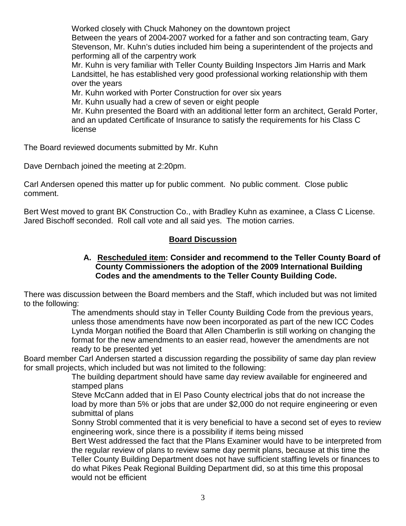Worked closely with Chuck Mahoney on the downtown project Between the years of 2004-2007 worked for a father and son contracting team, Gary Stevenson, Mr. Kuhn's duties included him being a superintendent of the projects and performing all of the carpentry work

Mr. Kuhn is very familiar with Teller County Building Inspectors Jim Harris and Mark Landsittel, he has established very good professional working relationship with them over the years

Mr. Kuhn worked with Porter Construction for over six years

Mr. Kuhn usually had a crew of seven or eight people

Mr. Kuhn presented the Board with an additional letter form an architect, Gerald Porter, and an updated Certificate of Insurance to satisfy the requirements for his Class C license

The Board reviewed documents submitted by Mr. Kuhn

Dave Dernbach joined the meeting at 2:20pm.

Carl Andersen opened this matter up for public comment. No public comment. Close public comment.

Bert West moved to grant BK Construction Co., with Bradley Kuhn as examinee, a Class C License. Jared Bischoff seconded. Roll call vote and all said yes. The motion carries.

# **Board Discussion**

### **A. Rescheduled item: Consider and recommend to the Teller County Board of County Commissioners the adoption of the 2009 International Building Codes and the amendments to the Teller County Building Code.**

There was discussion between the Board members and the Staff, which included but was not limited to the following:

The amendments should stay in Teller County Building Code from the previous years, unless those amendments have now been incorporated as part of the new ICC Codes Lynda Morgan notified the Board that Allen Chamberlin is still working on changing the format for the new amendments to an easier read, however the amendments are not ready to be presented yet

Board member Carl Andersen started a discussion regarding the possibility of same day plan review for small projects, which included but was not limited to the following:

The building department should have same day review available for engineered and stamped plans

Steve McCann added that in El Paso County electrical jobs that do not increase the load by more than 5% or jobs that are under \$2,000 do not require engineering or even submittal of plans

Sonny Strobl commented that it is very beneficial to have a second set of eyes to review engineering work, since there is a possibility if items being missed

Bert West addressed the fact that the Plans Examiner would have to be interpreted from the regular review of plans to review same day permit plans, because at this time the Teller County Building Department does not have sufficient staffing levels or finances to do what Pikes Peak Regional Building Department did, so at this time this proposal would not be efficient